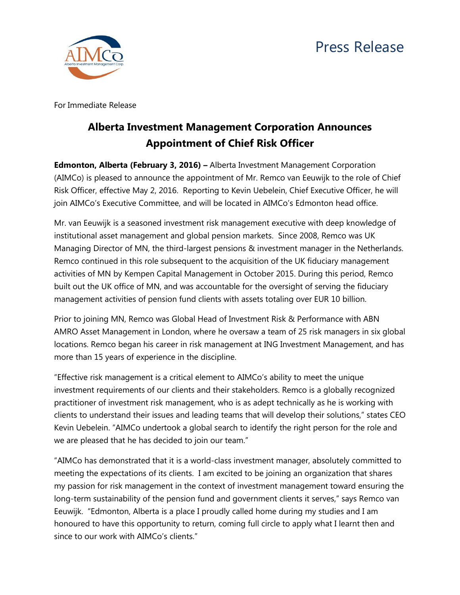



For Immediate Release

## **Alberta Investment Management Corporation Announces Appointment of Chief Risk Officer**

**Edmonton, Alberta (February 3, 2016) –** Alberta Investment Management Corporation (AIMCo) is pleased to announce the appointment of Mr. Remco van Eeuwijk to the role of Chief Risk Officer, effective May 2, 2016. Reporting to Kevin Uebelein, Chief Executive Officer, he will join AIMCo's Executive Committee, and will be located in AIMCo's Edmonton head office.

Mr. van Eeuwijk is a seasoned investment risk management executive with deep knowledge of institutional asset management and global pension markets. Since 2008, Remco was UK Managing Director of MN, the third-largest pensions & investment manager in the Netherlands. Remco continued in this role subsequent to the acquisition of the UK fiduciary management activities of MN by Kempen Capital Management in October 2015. During this period, Remco built out the UK office of MN, and was accountable for the oversight of serving the fiduciary management activities of pension fund clients with assets totaling over EUR 10 billion.

Prior to joining MN, Remco was Global Head of Investment Risk & Performance with ABN AMRO Asset Management in London, where he oversaw a team of 25 risk managers in six global locations. Remco began his career in risk management at ING Investment Management, and has more than 15 years of experience in the discipline.

"Effective risk management is a critical element to AIMCo's ability to meet the unique investment requirements of our clients and their stakeholders. Remco is a globally recognized practitioner of investment risk management, who is as adept technically as he is working with clients to understand their issues and leading teams that will develop their solutions," states CEO Kevin Uebelein. "AIMCo undertook a global search to identify the right person for the role and we are pleased that he has decided to join our team."

"AIMCo has demonstrated that it is a world-class investment manager, absolutely committed to meeting the expectations of its clients. I am excited to be joining an organization that shares my passion for risk management in the context of investment management toward ensuring the long-term sustainability of the pension fund and government clients it serves," says Remco van Eeuwijk. "Edmonton, Alberta is a place I proudly called home during my studies and I am honoured to have this opportunity to return, coming full circle to apply what I learnt then and since to our work with AIMCo's clients."